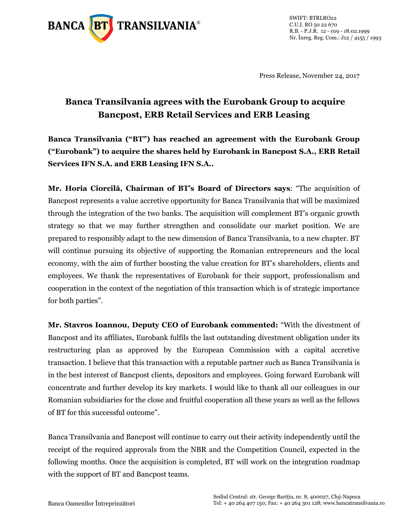

SWIFT: BTRLRO22 C.U.I. RO 50 22 670 R.B. - P.J.R. 12 - 019 - 18.02.1999 Nr. Înreg. Reg. Com.: J12 / 4155 / 1993

Press Release, November 24, 2017

## **Banca Transilvania agrees with the Eurobank Group to acquire Bancpost, ERB Retail Services and ERB Leasing**

**Banca Transilvania ("BT") has reached an agreement with the Eurobank Group ("Eurobank") to acquire the shares held by Eurobank in Bancpost S.A., ERB Retail Services IFN S.A. and ERB Leasing IFN S.A..**

**Mr. Horia Ciorcilă, Chairman of BT's Board of Directors says**: "The acquisition of Bancpost represents a value accretive opportunity for Banca Transilvania that will be maximized through the integration of the two banks. The acquisition will complement BT's organic growth strategy so that we may further strengthen and consolidate our market position. We are prepared to responsibly adapt to the new dimension of Banca Transilvania, to a new chapter. BT will continue pursuing its objective of supporting the Romanian entrepreneurs and the local economy, with the aim of further boosting the value creation for BT's shareholders, clients and employees. We thank the representatives of Eurobank for their support, professionalism and cooperation in the context of the negotiation of this transaction which is of strategic importance for both parties".

**Mr. Stavros Ioannou, Deputy CEO of Eurobank commented:** "With the divestment of Bancpost and its affiliates, Eurobank fulfils the last outstanding divestment obligation under its restructuring plan as approved by the European Commission with a capital accretive transaction. I believe that this transaction with a reputable partner such as Banca Transilvania is in the best interest of Bancpost clients, depositors and employees. Going forward Eurobank will concentrate and further develop its key markets. I would like to thank all our colleagues in our Romanian subsidiaries for the close and fruitful cooperation all these years as well as the fellows of BT for this successful outcome".

Banca Transilvania and Bancpost will continue to carry out their activity independently until the receipt of the required approvals from the NBR and the Competition Council, expected in the following months. Once the acquisition is completed, BT will work on the integration roadmap with the support of BT and Bancpost teams.